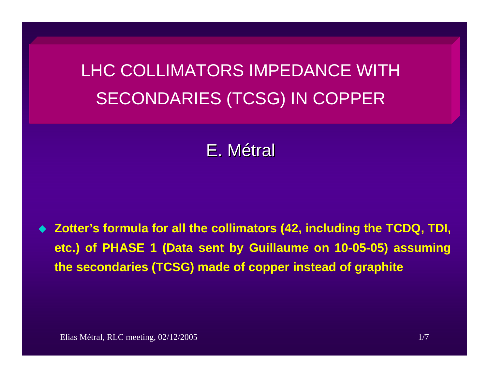LHC COLLIMATORS IMPEDANCE WITH SECONDARIES (TCSG) IN COPPER

# E.Métral

 **Zotter's formula for all the collimators (42, including the TCDQ, TDI, etc.) of PHASE 1 (Data sent by Guillaume on 10-05-05) assuming the secondaries (TCSG) made of copper instead of graphite**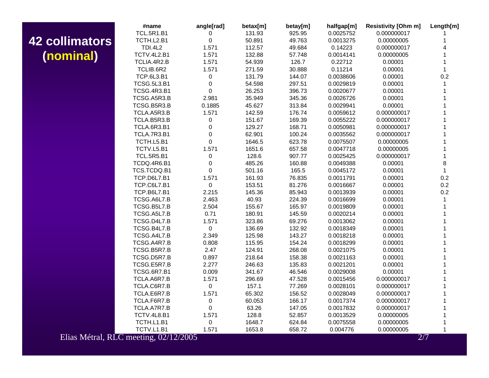## **42 collimators (nominal )**

|                                       | #name              | angle[rad]  | betax[m] | betay[m] | halfgap[m] | <b>Resistivity [Ohm m]</b> | Length[m]    |
|---------------------------------------|--------------------|-------------|----------|----------|------------|----------------------------|--------------|
|                                       | <b>TCL.5R1.B1</b>  | 0           | 131.93   | 925.95   | 0.0025752  | 0.000000017                |              |
| <b>Illimators</b>                     | TCTH.L2.B1         | 0           | 50.891   | 49.763   | 0.0013275  | 0.00000005                 |              |
|                                       | <b>TDI.4L2</b>     | 1.571       | 112.57   | 49.684   | 0.14223    | 0.000000017                |              |
| <b>(Isninal</b>                       | <b>TCTV.4L2.B1</b> | 1.571       | 132.88   | 57.748   | 0.0014141  | 0.00000005                 |              |
|                                       | TCLIA.4R2.B        | 1.571       | 54.939   | 126.7    | 0.22712    | 0.00001                    |              |
|                                       | TCLIB.6R2          | 1.571       | 271.59   | 30.888   | 0.11214    | 0.00001                    | $\mathbf{1}$ |
|                                       | <b>TCP.6L3.B1</b>  | 0           | 131.79   | 144.07   | 0.0038606  | 0.00001                    | 0.2          |
|                                       | <b>TCSG.5L3.B1</b> | 0           | 54.598   | 297.51   | 0.0029819  | 0.00001                    | 1            |
|                                       | <b>TCSG.4R3.B1</b> | 0           | 26.253   | 396.73   | 0.0020677  | 0.00001                    |              |
|                                       | TCSG.A5R3.B        | 2.981       | 35.949   | 345.36   | 0.0026726  | 0.00001                    |              |
|                                       | TCSG.B5R3.B        | 0.1885      | 45.627   | 313.84   | 0.0029941  | 0.00001                    |              |
|                                       | TCLA.A5R3.B        | 1.571       | 142.59   | 176.74   | 0.0059612  | 0.000000017                |              |
|                                       | TCLA.B5R3.B        | 0           | 151.67   | 169.39   | 0.0055222  | 0.000000017                |              |
|                                       | TCLA.6R3.B1        | $\mathbf 0$ | 129.27   | 168.71   | 0.0050981  | 0.000000017                |              |
|                                       | TCLA.7R3.B1        | 0           | 62.901   | 100.24   | 0.0035562  | 0.000000017                |              |
|                                       | TCTH.L5.B1         | 0           | 1646.5   | 623.78   | 0.0075507  | 0.00000005                 |              |
|                                       | TCTV.L5.B1         | 1.571       | 1651.6   | 657.58   | 0.0047718  | 0.00000005                 |              |
|                                       | <b>TCL.5R5.B1</b>  | 0           | 128.6    | 907.77   | 0.0025425  | 0.000000017                | 1            |
|                                       | TCDQ.4R6.B1        | 0           | 485.26   | 160.88   | 0.0049388  | 0.00001                    | 8            |
|                                       | TCS.TCDQ.B1        | 0           | 501.16   | 165.5    | 0.0045172  | 0.00001                    | $\mathbf{1}$ |
|                                       | TCP.D6L7.B1        | 1.571       | 161.93   | 76.835   | 0.0011791  | 0.00001                    | 0.2          |
|                                       | TCP.C6L7.B1        | $\mathsf 0$ | 153.51   | 81.276   | 0.0016667  | 0.00001                    | 0.2          |
|                                       | <b>TCP.B6L7.B1</b> | 2.215       | 145.36   | 85.943   | 0.0013939  | 0.00001                    | 0.2          |
|                                       | TCSG.A6L7.B        | 2.463       | 40.93    | 224.39   | 0.0016699  | 0.00001                    |              |
|                                       | TCSG.B5L7.B        | 2.504       | 155.67   | 165.97   | 0.0019809  | 0.00001                    |              |
|                                       | TCSG.A5L7.B        | 0.71        | 180.91   | 145.59   | 0.0020214  | 0.00001                    |              |
|                                       | TCSG.D4L7.B        | 1.571       | 323.86   | 69.276   | 0.0013062  | 0.00001                    |              |
|                                       | TCSG.B4L7.B        | 0           | 136.69   | 132.92   | 0.0018349  | 0.00001                    |              |
|                                       | TCSG.A4L7.B        | 2.349       | 125.98   | 143.27   | 0.0018218  | 0.00001                    |              |
|                                       | TCSG.A4R7.B        | 0.808       | 115.95   | 154.24   | 0.0018299  | 0.00001                    |              |
|                                       | TCSG.B5R7.B        | 2.47        | 124.91   | 268.08   | 0.0021075  | 0.00001                    |              |
|                                       | TCSG.D5R7.B        | 0.897       | 218.64   | 158.38   | 0.0021163  | 0.00001                    |              |
|                                       | TCSG.E5R7.B        | 2.277       | 246.63   | 135.83   | 0.0021201  | 0.00001                    |              |
|                                       | <b>TCSG.6R7.B1</b> | 0.009       | 341.67   | 46.546   | 0.0029008  | 0.00001                    |              |
|                                       | TCLA.A6R7.B        | 1.571       | 296.69   | 47.528   | 0.0015456  | 0.000000017                |              |
|                                       | TCLA.C6R7.B        | 0           | 157.1    | 77.269   | 0.0028101  | 0.000000017                |              |
|                                       | TCLA.E6R7.B        | 1.571       | 65.302   | 156.52   | 0.0028049  | 0.000000017                |              |
|                                       | TCLA.F6R7.B        | $\pmb{0}$   | 60.053   | 166.17   | 0.0017374  | 0.000000017                |              |
|                                       | TCLA.A7R7.B        | $\mathbf 0$ | 63.26    | 147.05   | 0.0017832  | 0.000000017                |              |
|                                       | TCTV.4L8.B1        | 1.571       | 128.8    | 52.857   | 0.0013529  | 0.00000005                 |              |
|                                       | TCTH.L1.B1         | $\pmb{0}$   | 1648.7   | 624.84   | 0.0075558  | 0.00000005                 |              |
|                                       | TCTV.L1.B1         | 1.571       | 1653.8   | 658.72   | 0.004776   | 0.00000005                 | 1            |
| Elias Métral, RLC meeting, 02/12/2005 |                    |             |          |          |            | 2/7                        |              |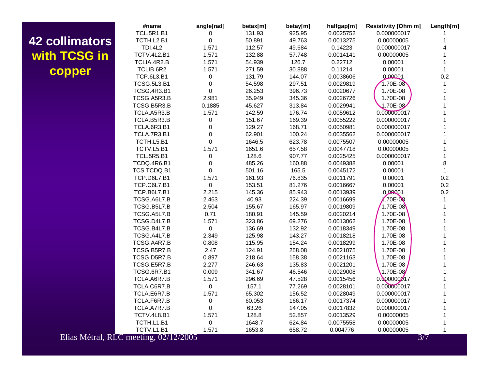## **42 collimators with TCSG in copper**

|                                       | #name              | angle[rad]  | betax[m] | betay[m] | halfgap[m] | <b>Resistivity [Ohm m]</b> | Length[m]    |
|---------------------------------------|--------------------|-------------|----------|----------|------------|----------------------------|--------------|
|                                       | <b>TCL.5R1.B1</b>  | 0           | 131.93   | 925.95   | 0.0025752  | 0.000000017                |              |
| <u><b>Illimators</b></u>              | TCTH.L2.B1         | 0           | 50.891   | 49.763   | 0.0013275  | 0.00000005                 |              |
|                                       | <b>TDI.4L2</b>     | 1.571       | 112.57   | 49.684   | 0.14223    | 0.000000017                |              |
| <b>TCSG in</b>                        | TCTV.4L2.B1        | 1.571       | 132.88   | 57.748   | 0.0014141  | 0.00000005                 |              |
|                                       | TCLIA.4R2.B        | 1.571       | 54.939   | 126.7    | 0.22712    | 0.00001                    |              |
| opper                                 | TCLIB.6R2          | 1.571       | 271.59   | 30.888   | 0.11214    | 0.00001                    | $\mathbf{1}$ |
|                                       | <b>TCP.6L3.B1</b>  | 0           | 131.79   | 144.07   | 0.0038606  | 0.00001                    | 0.2          |
|                                       | <b>TCSG.5L3.B1</b> | 0           | 54.598   | 297.51   | 0.0029819  | 1.70E-08                   | 1            |
|                                       | <b>TCSG.4R3.B1</b> | $\mathsf 0$ | 26.253   | 396.73   | 0.0020677  | 1.70E-08                   |              |
|                                       | TCSG.A5R3.B        | 2.981       | 35.949   | 345.36   | 0.0026726  | 1.70E-08                   |              |
|                                       | TCSG.B5R3.B        | 0.1885      | 45.627   | 313.84   | 0.0029941  | $1.70E - 08$               |              |
|                                       | TCLA.A5R3.B        | 1.571       | 142.59   | 176.74   | 0.0059612  | 0.000000017                |              |
|                                       | TCLA.B5R3.B        | 0           | 151.67   | 169.39   | 0.0055222  | 0.000000017                |              |
|                                       | TCLA.6R3.B1        | $\mathsf 0$ | 129.27   | 168.71   | 0.0050981  | 0.000000017                |              |
|                                       | TCLA.7R3.B1        | 0           | 62.901   | 100.24   | 0.0035562  | 0.000000017                |              |
|                                       | TCTH.L5.B1         | 0           | 1646.5   | 623.78   | 0.0075507  | 0.00000005                 |              |
|                                       | TCTV.L5.B1         | 1.571       | 1651.6   | 657.58   | 0.0047718  | 0.00000005                 |              |
|                                       | <b>TCL.5R5.B1</b>  | 0           | 128.6    | 907.77   | 0.0025425  | 0.000000017                |              |
|                                       | TCDQ.4R6.B1        | 0           | 485.26   | 160.88   | 0.0049388  | 0.00001                    | 8            |
|                                       | TCS.TCDQ.B1        | 0           | 501.16   | 165.5    | 0.0045172  | 0.00001                    | $\mathbf 1$  |
|                                       | TCP.D6L7.B1        | 1.571       | 161.93   | 76.835   | 0.0011791  | 0.00001                    | 0.2          |
|                                       | TCP.C6L7.B1        | $\mathsf 0$ | 153.51   | 81.276   | 0.0016667  | 0.00001                    | 0.2          |
|                                       | <b>TCP.B6L7.B1</b> | 2.215       | 145.36   | 85.943   | 0.0013939  | 0,00001                    | 0.2          |
|                                       | TCSG.A6L7.B        | 2.463       | 40.93    | 224.39   | 0.0016699  | $170E-08$                  |              |
|                                       | TCSG.B5L7.B        | 2.504       | 155.67   | 165.97   | 0.0019809  | 1.70E-08                   |              |
|                                       | TCSG.A5L7.B        | 0.71        | 180.91   | 145.59   | 0.0020214  | 1.70E-08                   |              |
|                                       | TCSG.D4L7.B        | 1.571       | 323.86   | 69.276   | 0.0013062  | 1.70E-08                   |              |
|                                       | TCSG.B4L7.B        | $\mathbf 0$ | 136.69   | 132.92   | 0.0018349  | 1.70E-08                   |              |
|                                       | TCSG.A4L7.B        | 2.349       | 125.98   | 143.27   | 0.0018218  | 1.70E-08                   |              |
|                                       | TCSG.A4R7.B        | 0.808       | 115.95   | 154.24   | 0.0018299  | 1.70E-08                   |              |
|                                       | TCSG.B5R7.B        | 2.47        | 124.91   | 268.08   | 0.0021075  | 1.70E-08                   |              |
|                                       | TCSG.D5R7.B        | 0.897       | 218.64   | 158.38   | 0.0021163  | 1.70E-08                   |              |
|                                       | TCSG.E5R7.B        | 2.277       | 246.63   | 135.83   | 0.0021201  | 1.70E-08                   |              |
|                                       | <b>TCSG.6R7.B1</b> | 0.009       | 341.67   | 46.546   | 0.0029008  | $1.70E-08$                 |              |
|                                       | TCLA.A6R7.B        | 1.571       | 296.69   | 47.528   | 0.0015456  | 0.000000017                |              |
|                                       | TCLA.C6R7.B        | 0           | 157.1    | 77.269   | 0.0028101  | 0.000000017                |              |
|                                       | TCLA.E6R7.B        | 1.571       | 65.302   | 156.52   | 0.0028049  | 0.000000017                |              |
|                                       | TCLA.F6R7.B        | $\,0\,$     | 60.053   | 166.17   | 0.0017374  | 0.000000017                |              |
|                                       | TCLA.A7R7.B        | 0           | 63.26    | 147.05   | 0.0017832  | 0.000000017                |              |
|                                       | TCTV.4L8.B1        | 1.571       | 128.8    | 52.857   | 0.0013529  | 0.00000005                 |              |
|                                       | TCTH.L1.B1         | 0           | 1648.7   | 624.84   | 0.0075558  | 0.00000005                 |              |
|                                       | TCTV.L1.B1         | 1.571       | 1653.8   | 658.72   | 0.004776   | 0.00000005                 |              |
| Elias Métral, RLC meeting, 02/12/2005 |                    |             |          |          |            | 3/7                        |              |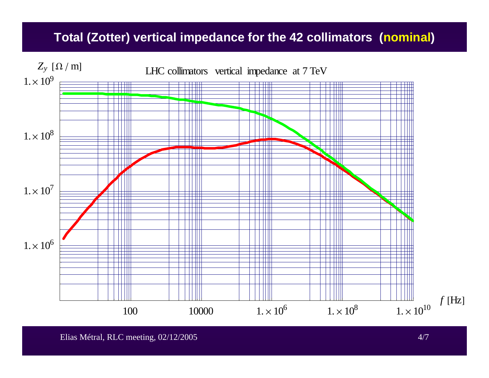### **Total (Zotter) vertical impedance for the 42 collimators (nominal )**

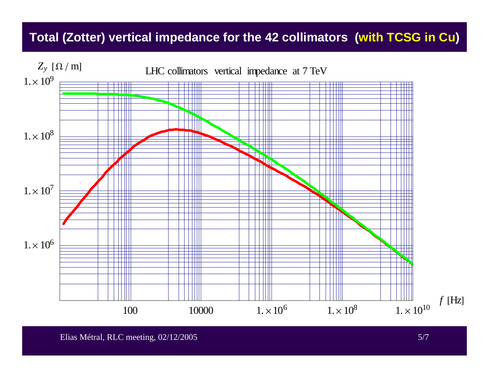### **Total (Zotter) vertical impedance for the 42 collimators (with TCSG in Cu )**

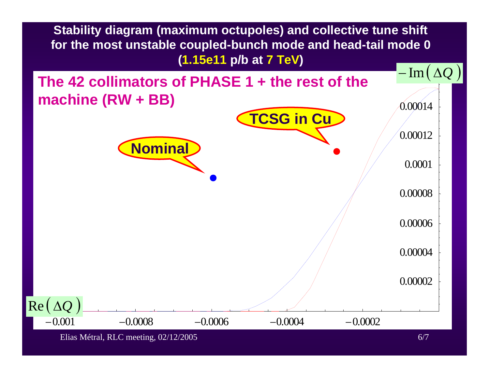